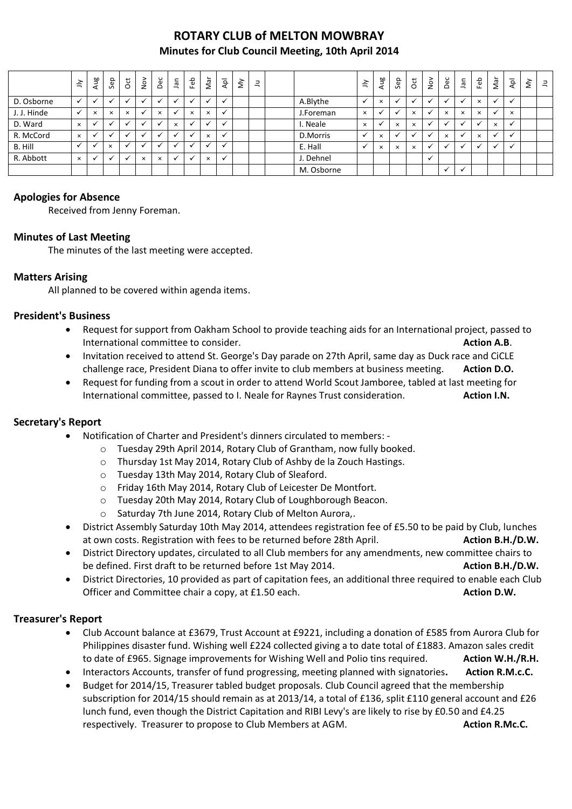# **ROTARY CLUB of MELTON MOWBRAY Minutes for Club Council Meeting, 10th April 2014**

|             | $\leq$       | Aug                      | Sep                      | $\overline{5}$ | $\stackrel{\textstyle\sim}{\sim}$ | Dec                      | Jan      | Feb                      | Nar      | $\bar{A}$            | $\lessgtr$ | $\exists$ |            | $\leq$   | Aug      | Sep      | 5        | $\frac{5}{2}$ | Dec            | <b>Jan</b>  | Feb      | Nar      | $\overline{P}$       | š | $\exists$ |
|-------------|--------------|--------------------------|--------------------------|----------------|-----------------------------------|--------------------------|----------|--------------------------|----------|----------------------|------------|-----------|------------|----------|----------|----------|----------|---------------|----------------|-------------|----------|----------|----------------------|---|-----------|
| D. Osborne  |              |                          |                          |                |                                   |                          |          |                          |          |                      |            |           | A.Blythe   |          | $\times$ |          |          |               |                |             | $\times$ | $\cdot$  | $\ddot{\phantom{0}}$ |   |           |
| J. J. Hinde | $\checkmark$ | $\times$                 | $\times$                 | $\times$       |                                   | $\times$                 |          | $\times$                 | $\times$ | $\ddot{\phantom{0}}$ |            |           | J.Foreman  | $\times$ |          |          | $\times$ |               | $\times$       | $\times$    | $\times$ | v        | $\times$             |   |           |
| D. Ward     | $\times$     |                          |                          |                |                                   |                          | $\times$ |                          |          |                      |            |           | I. Neale   | $\times$ |          | $\times$ | $\times$ |               |                |             |          | $\times$ | $\checkmark$         |   |           |
| R. McCord   | $\times$     |                          | $\overline{\phantom{a}}$ |                |                                   | $\overline{\phantom{a}}$ |          | $\overline{\phantom{a}}$ | $\times$ | $\overline{ }$       |            |           | D.Morris   |          | $\times$ |          |          |               | $\times$       |             | $\times$ |          | $\checkmark$         |   |           |
| B. Hill     | $\checkmark$ |                          | $\times$                 |                |                                   | $\ddot{\phantom{0}}$     |          |                          |          | $\ddot{\phantom{0}}$ |            |           | E. Hall    |          | $\times$ | $\times$ | $\times$ |               | $\overline{u}$ |             |          | $\cdot$  | $\checkmark$         |   |           |
| R. Abbott   | $\times$     | $\overline{\phantom{a}}$ | $\overline{\mathbf{a}}$  |                | $\times$                          | $\times$                 |          | $\overline{\phantom{a}}$ | $\times$ | $\ddot{\phantom{0}}$ |            |           | J. Dehnel  |          |          |          |          | $\cdot$       |                |             |          |          |                      |   |           |
|             |              |                          |                          |                |                                   |                          |          |                          |          |                      |            |           | M. Osborne |          |          |          |          |               | $\checkmark$   | $\check{ }$ |          |          |                      |   |           |

#### **Apologies for Absence**

Received from Jenny Foreman.

#### **Minutes of Last Meeting**

The minutes of the last meeting were accepted.

### **Matters Arising**

All planned to be covered within agenda items.

#### **President's Business**

- Request for support from Oakham School to provide teaching aids for an International project, passed to International committee to consider. **Action A.B.** Action A.B.
- Invitation received to attend St. George's Day parade on 27th April, same day as Duck race and CiCLE challenge race, President Diana to offer invite to club members at business meeting. **Action D.O.**
- Request for funding from a scout in order to attend World Scout Jamboree, tabled at last meeting for International committee, passed to I. Neale for Raynes Trust consideration. **Action I.N.**

#### **Secretary's Report**

- Notification of Charter and President's dinners circulated to members:
	- o Tuesday 29th April 2014, Rotary Club of Grantham, now fully booked.
	- o Thursday 1st May 2014, Rotary Club of Ashby de la Zouch Hastings.
	- o Tuesday 13th May 2014, Rotary Club of Sleaford.
	- o Friday 16th May 2014, Rotary Club of Leicester De Montfort.
	- o Tuesday 20th May 2014, Rotary Club of Loughborough Beacon.
	- o Saturday 7th June 2014, Rotary Club of Melton Aurora,.
- District Assembly Saturday 10th May 2014, attendees registration fee of £5.50 to be paid by Club, lunches at own costs. Registration with fees to be returned before 28th April. **Action B.H./D.W. Action B.H./D.W.**
- District Directory updates, circulated to all Club members for any amendments, new committee chairs to be defined. First draft to be returned before 1st May 2014. **Action B.H./D.W.**
- District Directories, 10 provided as part of capitation fees, an additional three required to enable each Club Officer and Committee chair a copy, at £1.50 each. **Action D.W. Action D.W.**

#### **Treasurer's Report**

- Club Account balance at £3679, Trust Account at £9221, including a donation of £585 from Aurora Club for Philippines disaster fund. Wishing well £224 collected giving a to date total of £1883. Amazon sales credit to date of £965. Signage improvements for Wishing Well and Polio tins required. **Action W.H./R.H.**
- Interactors Accounts, transfer of fund progressing, meeting planned with signatories**. Action R.M.c.C.**
- Budget for 2014/15, Treasurer tabled budget proposals. Club Council agreed that the membership subscription for 2014/15 should remain as at 2013/14, a total of £136, split £110 general account and £26 lunch fund, even though the District Capitation and RIBI Levy's are likely to rise by £0.50 and £4.25 respectively. Treasurer to propose to Club Members at AGM. **Action R.Mc.C.**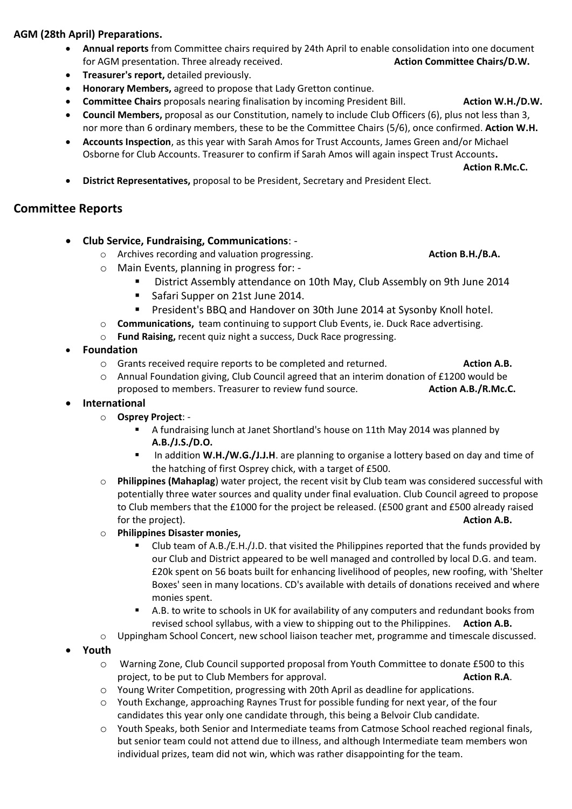## **AGM (28th April) Preparations.**

- **Annual reports** from Committee chairs required by 24th April to enable consolidation into one document for AGM presentation. Three already received. **Action Committee Chairs/D.W. Action Committee Chairs/D.W.**
- **Treasurer's report,** detailed previously.
- **Honorary Members,** agreed to propose that Lady Gretton continue.
- **Committee Chairs** proposals nearing finalisation by incoming President Bill. **Action W.H./D.W.**
- **Council Members,** proposal as our Constitution, namely to include Club Officers (6), plus not less than 3, nor more than 6 ordinary members, these to be the Committee Chairs (5/6), once confirmed. **Action W.H.**
- **Accounts Inspection**, as this year with Sarah Amos for Trust Accounts, James Green and/or Michael Osborne for Club Accounts. Treasurer to confirm if Sarah Amos will again inspect Trust Accounts**.**

**Action R.Mc.C.**

**District Representatives,** proposal to be President, Secretary and President Elect.

## **Committee Reports**

- **Club Service, Fundraising, Communications**:
	- o Archives recording and valuation progressing. **Action B.H./B.A.**
	- o Main Events, planning in progress for:
		- District Assembly attendance on 10th May, Club Assembly on 9th June 2014
			- Safari Supper on 21st June 2014.
			- **President's BBQ and Handover on 30th June 2014 at Sysonby Knoll hotel.**
	- o **Communications,** team continuing to support Club Events, ie. Duck Race advertising.
	- o **Fund Raising,** recent quiz night a success, Duck Race progressing.
- **Foundation**
	- o Grants received require reports to be completed and returned. **Action A.B.**
	- o Annual Foundation giving, Club Council agreed that an interim donation of £1200 would be proposed to members. Treasurer to review fund source. **Action A.B./R.Mc.C.**
- **International**
	- o **Osprey Project**:
		- A fundraising lunch at Janet Shortland's house on 11th May 2014 was planned by **A.B./J.S./D.O.**
		- **IDED** In addition W.H./W.G./J.J.H. are planning to organise a lottery based on day and time of the hatching of first Osprey chick, with a target of £500.
	- o **Philippines (Mahaplag**) water project, the recent visit by Club team was considered successful with potentially three water sources and quality under final evaluation. Club Council agreed to propose to Club members that the £1000 for the project be released. (£500 grant and £500 already raised for the project). **Action A.B.**
	- o **Philippines Disaster monies,** 
		- Club team of A.B./E.H./J.D. that visited the Philippines reported that the funds provided by our Club and District appeared to be well managed and controlled by local D.G. and team. £20k spent on 56 boats built for enhancing livelihood of peoples, new roofing, with 'Shelter Boxes' seen in many locations. CD's available with details of donations received and where monies spent.
		- A.B. to write to schools in UK for availability of any computers and redundant books from revised school syllabus, with a view to shipping out to the Philippines. **Action A.B.**
	- o Uppingham School Concert, new school liaison teacher met, programme and timescale discussed.
- **Youth**
	- o Warning Zone, Club Council supported proposal from Youth Committee to donate £500 to this project, to be put to Club Members for approval. **Action R.A. Action R.A.**
	- o Young Writer Competition, progressing with 20th April as deadline for applications.
	- o Youth Exchange, approaching Raynes Trust for possible funding for next year, of the four candidates this year only one candidate through, this being a Belvoir Club candidate.
	- o Youth Speaks, both Senior and Intermediate teams from Catmose School reached regional finals, but senior team could not attend due to illness, and although Intermediate team members won individual prizes, team did not win, which was rather disappointing for the team.